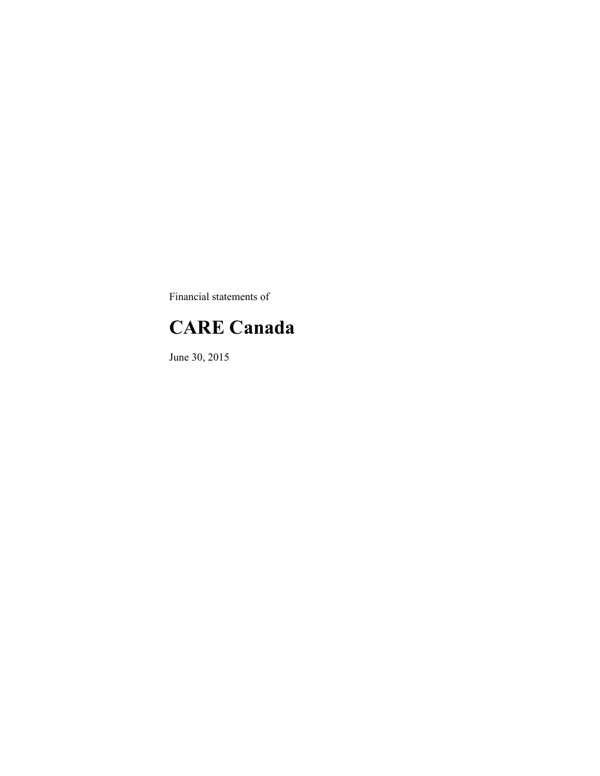Financial statements of

# **CARE Canada**

June 30, 2015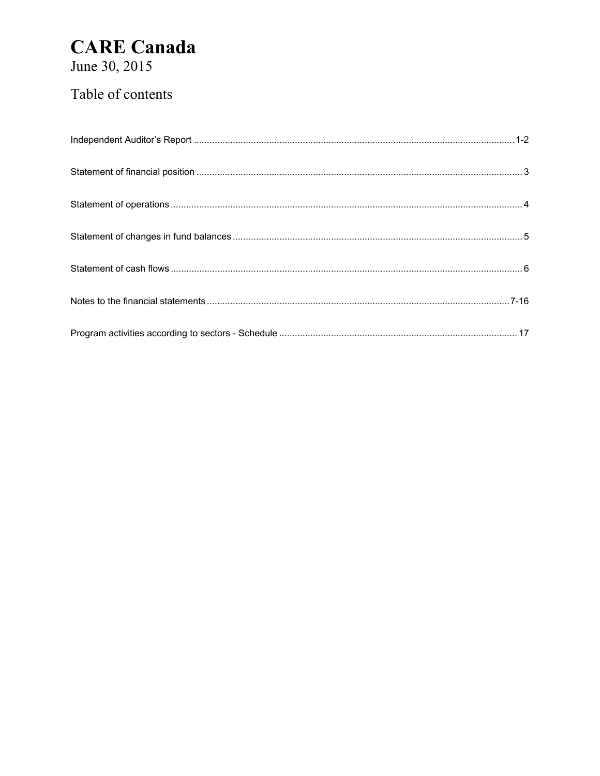June 30, 2015

### Table of contents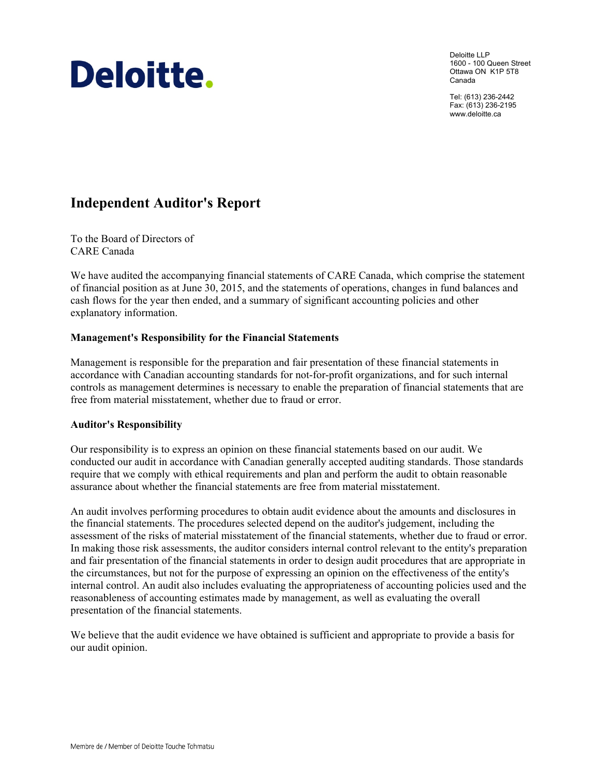# Deloitte.

Deloitte LLP 1600 - 100 Queen Street Ottawa ON K1P 5T8 Canada

Tel: (613) 236-2442 Fax: (613) 236-2195 www.deloitte.ca

### **Independent Auditor's Report**

To the Board of Directors of CARE Canada

We have audited the accompanying financial statements of CARE Canada, which comprise the statement of financial position as at June 30, 2015, and the statements of operations, changes in fund balances and cash flows for the year then ended, and a summary of significant accounting policies and other explanatory information.

#### **Management's Responsibility for the Financial Statements**

Management is responsible for the preparation and fair presentation of these financial statements in accordance with Canadian accounting standards for not-for-profit organizations, and for such internal controls as management determines is necessary to enable the preparation of financial statements that are free from material misstatement, whether due to fraud or error.

#### **Auditor's Responsibility**

Our responsibility is to express an opinion on these financial statements based on our audit. We conducted our audit in accordance with Canadian generally accepted auditing standards. Those standards require that we comply with ethical requirements and plan and perform the audit to obtain reasonable assurance about whether the financial statements are free from material misstatement.

An audit involves performing procedures to obtain audit evidence about the amounts and disclosures in the financial statements. The procedures selected depend on the auditor's judgement, including the assessment of the risks of material misstatement of the financial statements, whether due to fraud or error. In making those risk assessments, the auditor considers internal control relevant to the entity's preparation and fair presentation of the financial statements in order to design audit procedures that are appropriate in the circumstances, but not for the purpose of expressing an opinion on the effectiveness of the entity's internal control. An audit also includes evaluating the appropriateness of accounting policies used and the reasonableness of accounting estimates made by management, as well as evaluating the overall presentation of the financial statements.

We believe that the audit evidence we have obtained is sufficient and appropriate to provide a basis for our audit opinion.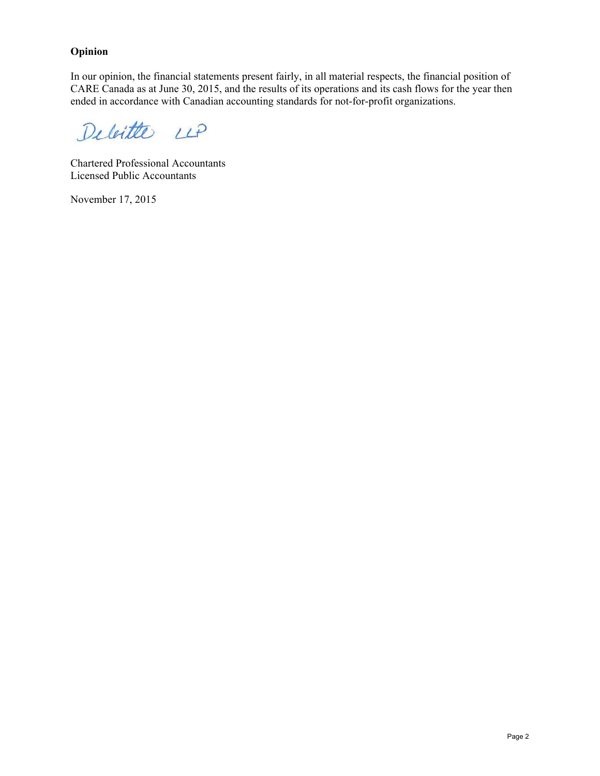#### **Opinion**

In our opinion, the financial statements present fairly, in all material respects, the financial position of CARE Canada as at June 30, 2015, and the results of its operations and its cash flows for the year then ended in accordance with Canadian accounting standards for not-for-profit organizations.

Deleitte LLP

Chartered Professional Accountants Licensed Public Accountants

November 17, 2015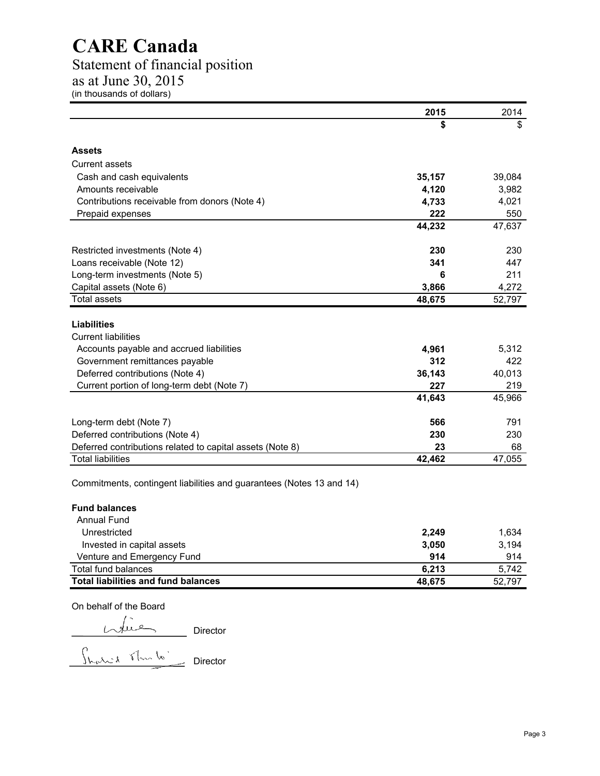Statement of financial position

as at June 30, 2015 (in thousands of dollars)

| \$<br>\$<br>Assets<br><b>Current assets</b><br>Cash and cash equivalents<br>35,157<br>39,084<br>3,982<br>Amounts receivable<br>4,120<br>Contributions receivable from donors (Note 4)<br>4,021<br>4,733<br>222<br>550<br>Prepaid expenses<br>47,637<br>44,232<br>230<br>230<br>Restricted investments (Note 4)<br>341<br>447<br>Loans receivable (Note 12)<br>211<br>Long-term investments (Note 5)<br>6<br>Capital assets (Note 6)<br>4,272<br>3,866<br>Total assets<br>52,797<br>48,675<br><b>Liabilities</b><br><b>Current liabilities</b><br>5,312<br>Accounts payable and accrued liabilities<br>4,961<br>312<br>Government remittances payable<br>422<br>Deferred contributions (Note 4)<br>40,013<br>36,143<br>227<br>219<br>Current portion of long-term debt (Note 7)<br>45,966<br>41,643<br>791<br>Long-term debt (Note 7)<br>566<br>Deferred contributions (Note 4)<br>230<br>230<br>Deferred contributions related to capital assets (Note 8)<br>23<br>68<br><b>Total liabilities</b><br>47,055<br>42,462<br>Commitments, contingent liabilities and guarantees (Notes 13 and 14)<br><b>Fund balances</b><br><b>Annual Fund</b><br>Unrestricted<br>1,634<br>2,249<br>3,194<br>Invested in capital assets<br>3,050 |                            | 2015 | 2014 |
|-------------------------------------------------------------------------------------------------------------------------------------------------------------------------------------------------------------------------------------------------------------------------------------------------------------------------------------------------------------------------------------------------------------------------------------------------------------------------------------------------------------------------------------------------------------------------------------------------------------------------------------------------------------------------------------------------------------------------------------------------------------------------------------------------------------------------------------------------------------------------------------------------------------------------------------------------------------------------------------------------------------------------------------------------------------------------------------------------------------------------------------------------------------------------------------------------------------------------------|----------------------------|------|------|
|                                                                                                                                                                                                                                                                                                                                                                                                                                                                                                                                                                                                                                                                                                                                                                                                                                                                                                                                                                                                                                                                                                                                                                                                                               |                            |      |      |
|                                                                                                                                                                                                                                                                                                                                                                                                                                                                                                                                                                                                                                                                                                                                                                                                                                                                                                                                                                                                                                                                                                                                                                                                                               |                            |      |      |
|                                                                                                                                                                                                                                                                                                                                                                                                                                                                                                                                                                                                                                                                                                                                                                                                                                                                                                                                                                                                                                                                                                                                                                                                                               |                            |      |      |
|                                                                                                                                                                                                                                                                                                                                                                                                                                                                                                                                                                                                                                                                                                                                                                                                                                                                                                                                                                                                                                                                                                                                                                                                                               |                            |      |      |
|                                                                                                                                                                                                                                                                                                                                                                                                                                                                                                                                                                                                                                                                                                                                                                                                                                                                                                                                                                                                                                                                                                                                                                                                                               |                            |      |      |
|                                                                                                                                                                                                                                                                                                                                                                                                                                                                                                                                                                                                                                                                                                                                                                                                                                                                                                                                                                                                                                                                                                                                                                                                                               |                            |      |      |
|                                                                                                                                                                                                                                                                                                                                                                                                                                                                                                                                                                                                                                                                                                                                                                                                                                                                                                                                                                                                                                                                                                                                                                                                                               |                            |      |      |
|                                                                                                                                                                                                                                                                                                                                                                                                                                                                                                                                                                                                                                                                                                                                                                                                                                                                                                                                                                                                                                                                                                                                                                                                                               |                            |      |      |
|                                                                                                                                                                                                                                                                                                                                                                                                                                                                                                                                                                                                                                                                                                                                                                                                                                                                                                                                                                                                                                                                                                                                                                                                                               |                            |      |      |
|                                                                                                                                                                                                                                                                                                                                                                                                                                                                                                                                                                                                                                                                                                                                                                                                                                                                                                                                                                                                                                                                                                                                                                                                                               |                            |      |      |
|                                                                                                                                                                                                                                                                                                                                                                                                                                                                                                                                                                                                                                                                                                                                                                                                                                                                                                                                                                                                                                                                                                                                                                                                                               |                            |      |      |
|                                                                                                                                                                                                                                                                                                                                                                                                                                                                                                                                                                                                                                                                                                                                                                                                                                                                                                                                                                                                                                                                                                                                                                                                                               |                            |      |      |
|                                                                                                                                                                                                                                                                                                                                                                                                                                                                                                                                                                                                                                                                                                                                                                                                                                                                                                                                                                                                                                                                                                                                                                                                                               |                            |      |      |
|                                                                                                                                                                                                                                                                                                                                                                                                                                                                                                                                                                                                                                                                                                                                                                                                                                                                                                                                                                                                                                                                                                                                                                                                                               |                            |      |      |
|                                                                                                                                                                                                                                                                                                                                                                                                                                                                                                                                                                                                                                                                                                                                                                                                                                                                                                                                                                                                                                                                                                                                                                                                                               |                            |      |      |
|                                                                                                                                                                                                                                                                                                                                                                                                                                                                                                                                                                                                                                                                                                                                                                                                                                                                                                                                                                                                                                                                                                                                                                                                                               |                            |      |      |
|                                                                                                                                                                                                                                                                                                                                                                                                                                                                                                                                                                                                                                                                                                                                                                                                                                                                                                                                                                                                                                                                                                                                                                                                                               |                            |      |      |
|                                                                                                                                                                                                                                                                                                                                                                                                                                                                                                                                                                                                                                                                                                                                                                                                                                                                                                                                                                                                                                                                                                                                                                                                                               |                            |      |      |
|                                                                                                                                                                                                                                                                                                                                                                                                                                                                                                                                                                                                                                                                                                                                                                                                                                                                                                                                                                                                                                                                                                                                                                                                                               |                            |      |      |
|                                                                                                                                                                                                                                                                                                                                                                                                                                                                                                                                                                                                                                                                                                                                                                                                                                                                                                                                                                                                                                                                                                                                                                                                                               |                            |      |      |
|                                                                                                                                                                                                                                                                                                                                                                                                                                                                                                                                                                                                                                                                                                                                                                                                                                                                                                                                                                                                                                                                                                                                                                                                                               |                            |      |      |
|                                                                                                                                                                                                                                                                                                                                                                                                                                                                                                                                                                                                                                                                                                                                                                                                                                                                                                                                                                                                                                                                                                                                                                                                                               |                            |      |      |
|                                                                                                                                                                                                                                                                                                                                                                                                                                                                                                                                                                                                                                                                                                                                                                                                                                                                                                                                                                                                                                                                                                                                                                                                                               |                            |      |      |
|                                                                                                                                                                                                                                                                                                                                                                                                                                                                                                                                                                                                                                                                                                                                                                                                                                                                                                                                                                                                                                                                                                                                                                                                                               |                            |      |      |
|                                                                                                                                                                                                                                                                                                                                                                                                                                                                                                                                                                                                                                                                                                                                                                                                                                                                                                                                                                                                                                                                                                                                                                                                                               |                            |      |      |
|                                                                                                                                                                                                                                                                                                                                                                                                                                                                                                                                                                                                                                                                                                                                                                                                                                                                                                                                                                                                                                                                                                                                                                                                                               |                            |      |      |
|                                                                                                                                                                                                                                                                                                                                                                                                                                                                                                                                                                                                                                                                                                                                                                                                                                                                                                                                                                                                                                                                                                                                                                                                                               |                            |      |      |
|                                                                                                                                                                                                                                                                                                                                                                                                                                                                                                                                                                                                                                                                                                                                                                                                                                                                                                                                                                                                                                                                                                                                                                                                                               |                            |      |      |
|                                                                                                                                                                                                                                                                                                                                                                                                                                                                                                                                                                                                                                                                                                                                                                                                                                                                                                                                                                                                                                                                                                                                                                                                                               |                            |      |      |
|                                                                                                                                                                                                                                                                                                                                                                                                                                                                                                                                                                                                                                                                                                                                                                                                                                                                                                                                                                                                                                                                                                                                                                                                                               |                            |      |      |
|                                                                                                                                                                                                                                                                                                                                                                                                                                                                                                                                                                                                                                                                                                                                                                                                                                                                                                                                                                                                                                                                                                                                                                                                                               | Venture and Emergency Fund | 914  | 914  |

Total fund balances **6,213** 5,742 Total liabilities and fund balances **48,675** 52,797

On behalf of the Board

Director

Director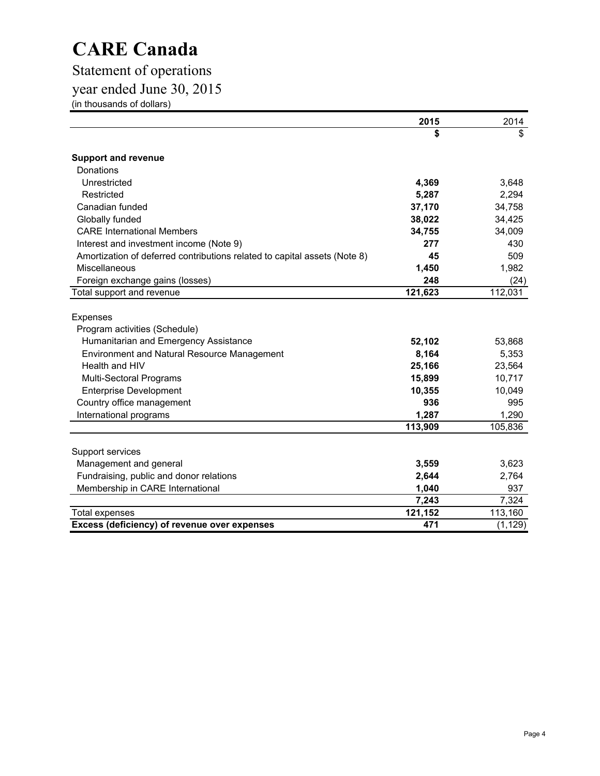Statement of operations year ended June 30, 2015 (in thousands of dollars)

|                                                                           | 2015    | 2014     |
|---------------------------------------------------------------------------|---------|----------|
|                                                                           | \$      | \$       |
| <b>Support and revenue</b>                                                |         |          |
| Donations                                                                 |         |          |
| Unrestricted                                                              | 4,369   | 3,648    |
| Restricted                                                                | 5,287   | 2,294    |
| Canadian funded                                                           | 37,170  | 34,758   |
| Globally funded                                                           | 38,022  | 34,425   |
| <b>CARE International Members</b>                                         | 34,755  | 34,009   |
| Interest and investment income (Note 9)                                   | 277     | 430      |
| Amortization of deferred contributions related to capital assets (Note 8) | 45      | 509      |
| Miscellaneous                                                             | 1,450   | 1,982    |
| Foreign exchange gains (losses)                                           | 248     | (24)     |
| Total support and revenue                                                 | 121,623 | 112,031  |
| Expenses<br>Program activities (Schedule)                                 |         |          |
| Humanitarian and Emergency Assistance                                     | 52,102  | 53,868   |
| <b>Environment and Natural Resource Management</b>                        | 8,164   | 5,353    |
| Health and HIV                                                            | 25,166  | 23,564   |
| Multi-Sectoral Programs                                                   | 15,899  | 10,717   |
| <b>Enterprise Development</b>                                             | 10,355  | 10,049   |
| Country office management                                                 | 936     | 995      |
| International programs                                                    | 1,287   | 1,290    |
|                                                                           | 113,909 | 105,836  |
| Support services                                                          |         |          |
| Management and general                                                    | 3,559   | 3,623    |
| Fundraising, public and donor relations                                   | 2,644   | 2,764    |
| Membership in CARE International                                          | 1,040   | 937      |
|                                                                           | 7,243   | 7,324    |
| <b>Total expenses</b>                                                     | 121,152 | 113,160  |
| Excess (deficiency) of revenue over expenses                              | 471     | (1, 129) |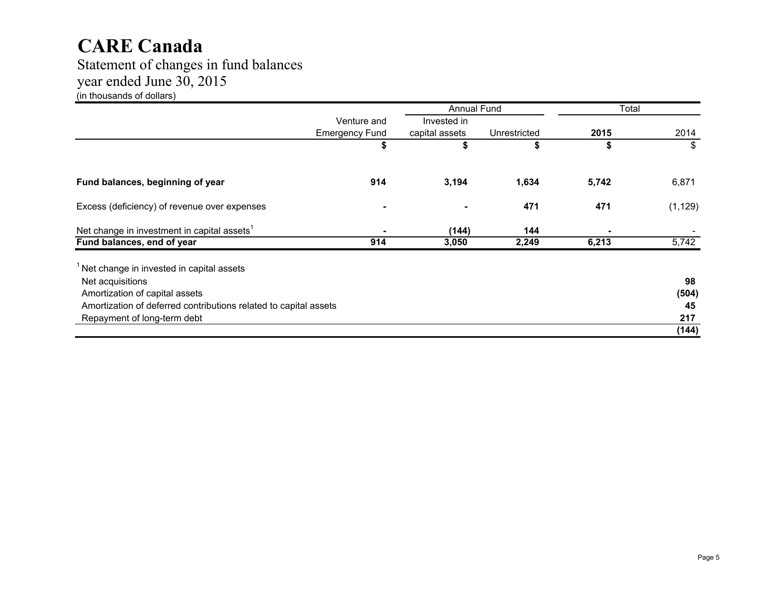### **CARE Canada** Statement of changes in fund balances year ended June 30, 2015 (in thousands of dollars)

|                                                                  |                       | <b>Annual Fund</b> |              | Total |          |
|------------------------------------------------------------------|-----------------------|--------------------|--------------|-------|----------|
|                                                                  | Venture and           | Invested in        |              |       |          |
|                                                                  | <b>Emergency Fund</b> | capital assets     | Unrestricted | 2015  | 2014     |
|                                                                  | \$                    | \$                 | S            | \$    | \$       |
| Fund balances, beginning of year                                 | 914                   | 3,194              | 1,634        | 5,742 | 6,871    |
| Excess (deficiency) of revenue over expenses                     |                       |                    | 471          | 471   | (1, 129) |
| Net change in investment in capital assets <sup>1</sup>          |                       | (144)              | 144          |       |          |
| Fund balances, end of year                                       | 914                   | 3,050              | 2,249        | 6,213 | 5,742    |
| <sup>1</sup> Net change in invested in capital assets            |                       |                    |              |       |          |
| Net acquisitions                                                 |                       |                    |              |       | 98       |
| Amortization of capital assets                                   |                       |                    |              |       | (504)    |
| Amortization of deferred contributions related to capital assets |                       |                    |              |       | 45       |
| Repayment of long-term debt                                      |                       |                    |              |       | 217      |
|                                                                  |                       |                    |              |       | (144)    |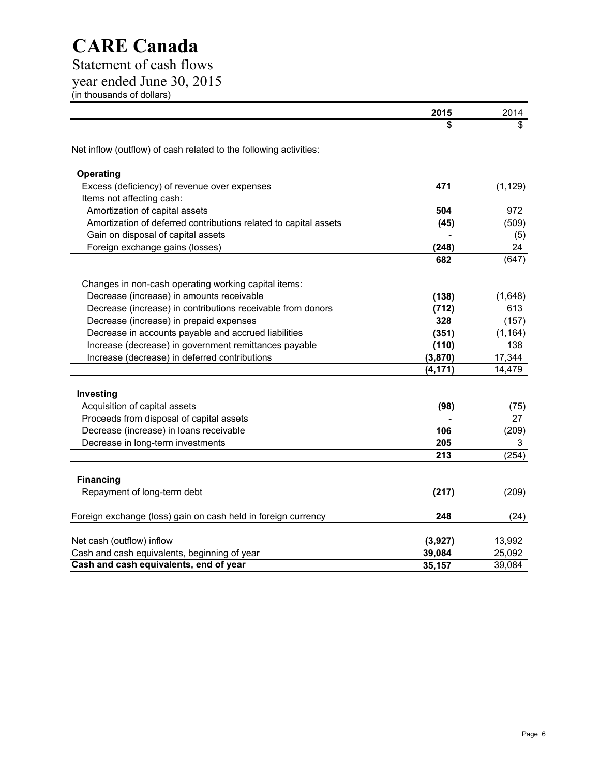Statement of cash flows year ended June 30, 2015 (in thousands of dollars)

|                                                                   | 2015     | 2014     |
|-------------------------------------------------------------------|----------|----------|
|                                                                   |          | \$.      |
| Net inflow (outflow) of cash related to the following activities: |          |          |
| Operating                                                         |          |          |
| Excess (deficiency) of revenue over expenses                      | 471      | (1, 129) |
| Items not affecting cash:                                         |          |          |
| Amortization of capital assets                                    | 504      | 972      |
| Amortization of deferred contributions related to capital assets  | (45)     | (509)    |
| Gain on disposal of capital assets                                |          | (5)      |
| Foreign exchange gains (losses)                                   | (248)    | 24       |
|                                                                   | 682      | (647)    |
| Changes in non-cash operating working capital items:              |          |          |
| Decrease (increase) in amounts receivable                         | (138)    | (1,648)  |
| Decrease (increase) in contributions receivable from donors       | (712)    | 613      |
| Decrease (increase) in prepaid expenses                           | 328      | (157)    |
| Decrease in accounts payable and accrued liabilities              | (351)    | (1, 164) |
| Increase (decrease) in government remittances payable             | (110)    | 138      |
| Increase (decrease) in deferred contributions                     | (3, 870) | 17,344   |
|                                                                   | (4, 171) | 14,479   |
| Investing                                                         |          |          |
| Acquisition of capital assets                                     | (98)     | (75)     |
| Proceeds from disposal of capital assets                          |          | 27       |
| Decrease (increase) in loans receivable                           | 106      | (209)    |
| Decrease in long-term investments                                 | 205      | 3        |
|                                                                   | 213      | (254)    |
| <b>Financing</b>                                                  |          |          |
| Repayment of long-term debt                                       | (217)    | (209)    |
|                                                                   |          |          |
| Foreign exchange (loss) gain on cash held in foreign currency     | 248      | (24)     |
| Net cash (outflow) inflow                                         | (3,927)  | 13,992   |
| Cash and cash equivalents, beginning of year                      | 39,084   | 25,092   |
| Cash and cash equivalents, end of year                            | 35,157   | 39,084   |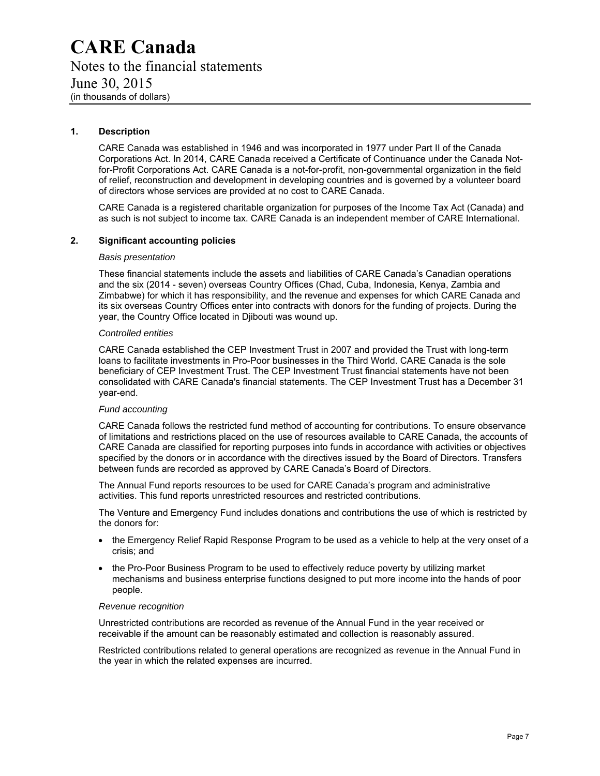### **CARE Canada**  Notes to the financial statements June 30, 2015 (in thousands of dollars)

#### **1. Description**

CARE Canada was established in 1946 and was incorporated in 1977 under Part II of the Canada Corporations Act. In 2014, CARE Canada received a Certificate of Continuance under the Canada Notfor-Profit Corporations Act. CARE Canada is a not-for-profit, non-governmental organization in the field of relief, reconstruction and development in developing countries and is governed by a volunteer board of directors whose services are provided at no cost to CARE Canada.

CARE Canada is a registered charitable organization for purposes of the Income Tax Act (Canada) and as such is not subject to income tax. CARE Canada is an independent member of CARE International.

#### **2. Significant accounting policies**

#### *Basis presentation*

These financial statements include the assets and liabilities of CARE Canada's Canadian operations and the six (2014 - seven) overseas Country Offices (Chad, Cuba, Indonesia, Kenya, Zambia and Zimbabwe) for which it has responsibility, and the revenue and expenses for which CARE Canada and its six overseas Country Offices enter into contracts with donors for the funding of projects. During the year, the Country Office located in Djibouti was wound up.

#### *Controlled entities*

CARE Canada established the CEP Investment Trust in 2007 and provided the Trust with long-term loans to facilitate investments in Pro-Poor businesses in the Third World. CARE Canada is the sole beneficiary of CEP Investment Trust. The CEP Investment Trust financial statements have not been consolidated with CARE Canada's financial statements. The CEP Investment Trust has a December 31 year-end.

#### *Fund accounting*

CARE Canada follows the restricted fund method of accounting for contributions. To ensure observance of limitations and restrictions placed on the use of resources available to CARE Canada, the accounts of CARE Canada are classified for reporting purposes into funds in accordance with activities or objectives specified by the donors or in accordance with the directives issued by the Board of Directors. Transfers between funds are recorded as approved by CARE Canada's Board of Directors.

The Annual Fund reports resources to be used for CARE Canada's program and administrative activities. This fund reports unrestricted resources and restricted contributions.

The Venture and Emergency Fund includes donations and contributions the use of which is restricted by the donors for:

- the Emergency Relief Rapid Response Program to be used as a vehicle to help at the very onset of a crisis; and
- the Pro-Poor Business Program to be used to effectively reduce poverty by utilizing market mechanisms and business enterprise functions designed to put more income into the hands of poor people.

#### *Revenue recognition*

Unrestricted contributions are recorded as revenue of the Annual Fund in the year received or receivable if the amount can be reasonably estimated and collection is reasonably assured.

Restricted contributions related to general operations are recognized as revenue in the Annual Fund in the year in which the related expenses are incurred.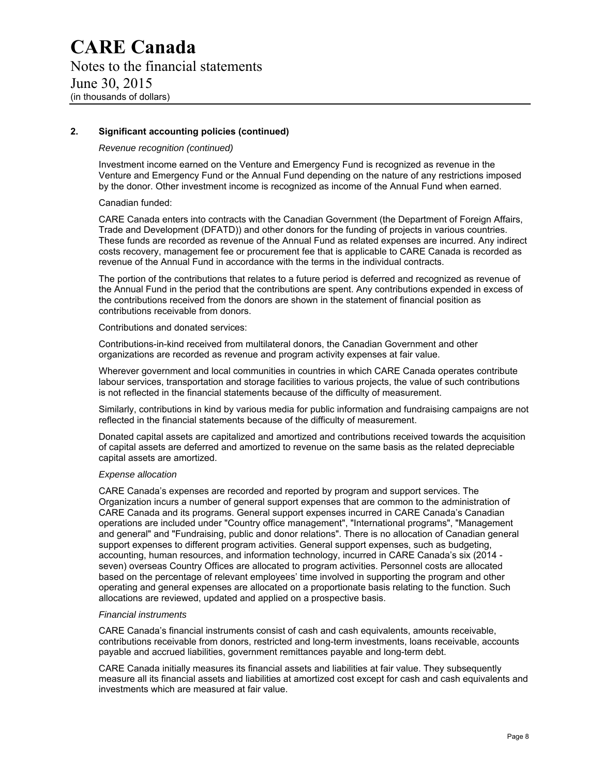#### **2. Significant accounting policies (continued)**

#### *Revenue recognition (continued)*

Investment income earned on the Venture and Emergency Fund is recognized as revenue in the Venture and Emergency Fund or the Annual Fund depending on the nature of any restrictions imposed by the donor. Other investment income is recognized as income of the Annual Fund when earned.

Canadian funded:

CARE Canada enters into contracts with the Canadian Government (the Department of Foreign Affairs, Trade and Development (DFATD)) and other donors for the funding of projects in various countries. These funds are recorded as revenue of the Annual Fund as related expenses are incurred. Any indirect costs recovery, management fee or procurement fee that is applicable to CARE Canada is recorded as revenue of the Annual Fund in accordance with the terms in the individual contracts.

The portion of the contributions that relates to a future period is deferred and recognized as revenue of the Annual Fund in the period that the contributions are spent. Any contributions expended in excess of the contributions received from the donors are shown in the statement of financial position as contributions receivable from donors.

Contributions and donated services:

Contributions-in-kind received from multilateral donors, the Canadian Government and other organizations are recorded as revenue and program activity expenses at fair value.

Wherever government and local communities in countries in which CARE Canada operates contribute labour services, transportation and storage facilities to various projects, the value of such contributions is not reflected in the financial statements because of the difficulty of measurement.

Similarly, contributions in kind by various media for public information and fundraising campaigns are not reflected in the financial statements because of the difficulty of measurement.

Donated capital assets are capitalized and amortized and contributions received towards the acquisition of capital assets are deferred and amortized to revenue on the same basis as the related depreciable capital assets are amortized.

#### *Expense allocation*

CARE Canada's expenses are recorded and reported by program and support services. The Organization incurs a number of general support expenses that are common to the administration of CARE Canada and its programs. General support expenses incurred in CARE Canada's Canadian operations are included under "Country office management", "International programs", "Management and general" and "Fundraising, public and donor relations". There is no allocation of Canadian general support expenses to different program activities. General support expenses, such as budgeting, accounting, human resources, and information technology, incurred in CARE Canada's six (2014 seven) overseas Country Offices are allocated to program activities. Personnel costs are allocated based on the percentage of relevant employees' time involved in supporting the program and other operating and general expenses are allocated on a proportionate basis relating to the function. Such allocations are reviewed, updated and applied on a prospective basis.

#### *Financial instruments*

CARE Canada's financial instruments consist of cash and cash equivalents, amounts receivable, contributions receivable from donors, restricted and long-term investments, loans receivable, accounts payable and accrued liabilities, government remittances payable and long-term debt.

CARE Canada initially measures its financial assets and liabilities at fair value. They subsequently measure all its financial assets and liabilities at amortized cost except for cash and cash equivalents and investments which are measured at fair value.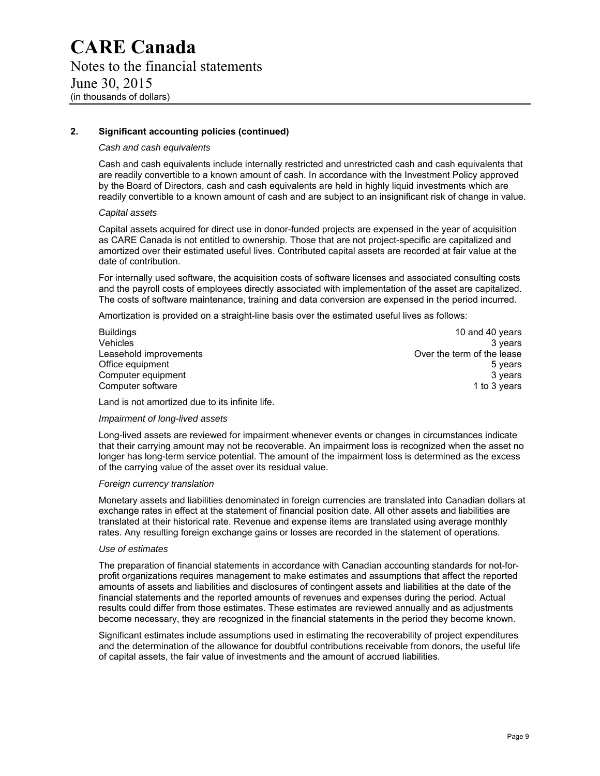#### **2. Significant accounting policies (continued)**

#### *Cash and cash equivalents*

Cash and cash equivalents include internally restricted and unrestricted cash and cash equivalents that are readily convertible to a known amount of cash. In accordance with the Investment Policy approved by the Board of Directors, cash and cash equivalents are held in highly liquid investments which are readily convertible to a known amount of cash and are subject to an insignificant risk of change in value.

#### *Capital assets*

Capital assets acquired for direct use in donor-funded projects are expensed in the year of acquisition as CARE Canada is not entitled to ownership. Those that are not project-specific are capitalized and amortized over their estimated useful lives. Contributed capital assets are recorded at fair value at the date of contribution.

For internally used software, the acquisition costs of software licenses and associated consulting costs and the payroll costs of employees directly associated with implementation of the asset are capitalized. The costs of software maintenance, training and data conversion are expensed in the period incurred.

Amortization is provided on a straight-line basis over the estimated useful lives as follows:

| <b>Buildings</b>       | 10 and 40 years            |
|------------------------|----------------------------|
| <b>Vehicles</b>        | 3 vears                    |
| Leasehold improvements | Over the term of the lease |
| Office equipment       | 5 years                    |
| Computer equipment     | 3 years                    |
| Computer software      | 1 to 3 vears               |

Buildings 10 and 40 years Over the term of the lease  $\blacksquare$ 

Land is not amortized due to its infinite life.

#### *Impairment of long-lived assets*

Long-lived assets are reviewed for impairment whenever events or changes in circumstances indicate that their carrying amount may not be recoverable. An impairment loss is recognized when the asset no longer has long-term service potential. The amount of the impairment loss is determined as the excess of the carrying value of the asset over its residual value.

#### *Foreign currency translation*

Monetary assets and liabilities denominated in foreign currencies are translated into Canadian dollars at exchange rates in effect at the statement of financial position date. All other assets and liabilities are translated at their historical rate. Revenue and expense items are translated using average monthly rates. Any resulting foreign exchange gains or losses are recorded in the statement of operations.

#### *Use of estimates*

The preparation of financial statements in accordance with Canadian accounting standards for not-forprofit organizations requires management to make estimates and assumptions that affect the reported amounts of assets and liabilities and disclosures of contingent assets and liabilities at the date of the financial statements and the reported amounts of revenues and expenses during the period. Actual results could differ from those estimates. These estimates are reviewed annually and as adjustments become necessary, they are recognized in the financial statements in the period they become known.

Significant estimates include assumptions used in estimating the recoverability of project expenditures and the determination of the allowance for doubtful contributions receivable from donors, the useful life of capital assets, the fair value of investments and the amount of accrued liabilities.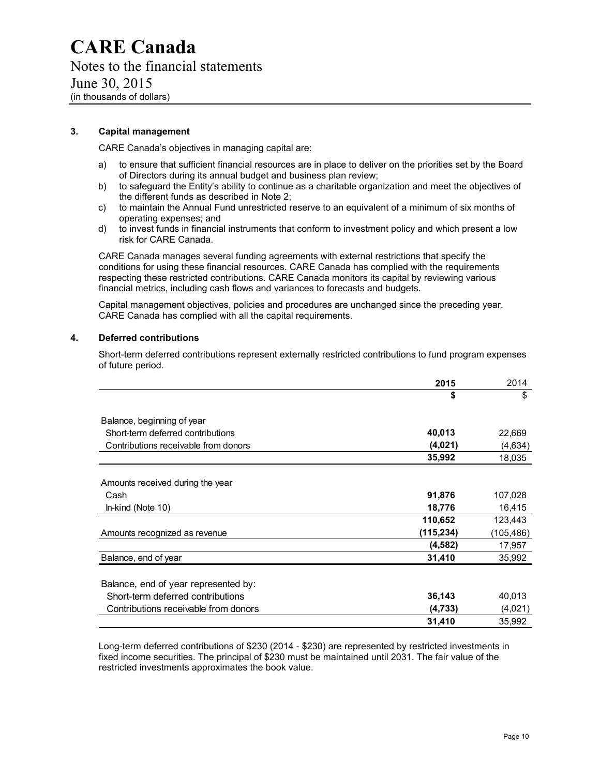#### **3. Capital management**

CARE Canada's objectives in managing capital are:

- a) to ensure that sufficient financial resources are in place to deliver on the priorities set by the Board of Directors during its annual budget and business plan review;
- b) to safeguard the Entity's ability to continue as a charitable organization and meet the objectives of the different funds as described in Note 2;
- c) to maintain the Annual Fund unrestricted reserve to an equivalent of a minimum of six months of operating expenses; and
- d) to invest funds in financial instruments that conform to investment policy and which present a low risk for CARE Canada.

CARE Canada manages several funding agreements with external restrictions that specify the conditions for using these financial resources. CARE Canada has complied with the requirements respecting these restricted contributions. CARE Canada monitors its capital by reviewing various financial metrics, including cash flows and variances to forecasts and budgets.

Capital management objectives, policies and procedures are unchanged since the preceding year. CARE Canada has complied with all the capital requirements.

#### **4. Deferred contributions**

Short-term deferred contributions represent externally restricted contributions to fund program expenses of future period.

|                                      | 2015      | 2014       |
|--------------------------------------|-----------|------------|
|                                      | \$        | \$         |
| Balance, beginning of year           |           |            |
| Short-term deferred contributions    | 40,013    | 22,669     |
| Contributions receivable from donors | (4,021)   | (4,634)    |
|                                      | 35,992    | 18,035     |
| Amounts received during the year     |           |            |
| Cash                                 | 91,876    | 107,028    |
| In-kind (Note 10)                    | 18,776    | 16,415     |
|                                      | 110,652   | 123,443    |
| Amounts recognized as revenue        | (115,234) | (105, 486) |
|                                      | (4, 582)  | 17,957     |
| Balance, end of year                 | 31,410    | 35,992     |
| Balance, end of year represented by: |           |            |
| Short-term deferred contributions    | 36,143    | 40,013     |
| Contributions receivable from donors | (4,733)   | (4,021)    |
|                                      | 31,410    | 35,992     |

Long-term deferred contributions of \$230 (2014 - \$230) are represented by restricted investments in fixed income securities. The principal of \$230 must be maintained until 2031. The fair value of the restricted investments approximates the book value.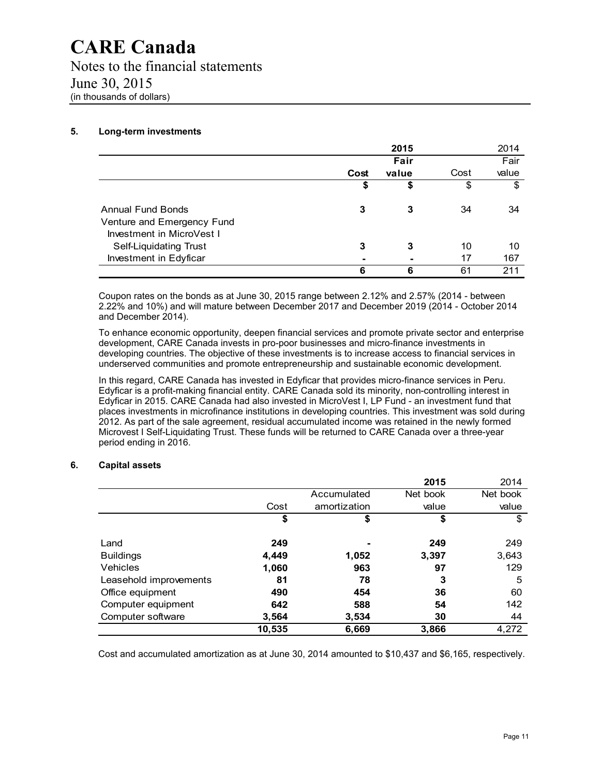#### **5. Long-term investments**

|                                                                               |      | 2015  |          | 2014      |
|-------------------------------------------------------------------------------|------|-------|----------|-----------|
|                                                                               |      | Fair  |          | Fair      |
|                                                                               | Cost | value | Cost     | value     |
|                                                                               | \$   | \$    | \$       | \$        |
| <b>Annual Fund Bonds</b><br>Venture and Emergency Fund                        | 3    | 3     | 34       | 34        |
| Investment in MicroVest I<br>Self-Liquidating Trust<br>Investment in Edyficar | 3    | 3     | 10<br>17 | 10<br>167 |
|                                                                               | 6    | 6     | 61       | 211       |

Coupon rates on the bonds as at June 30, 2015 range between 2.12% and 2.57% (2014 - between 2.22% and 10%) and will mature between December 2017 and December 2019 (2014 - October 2014 and December 2014).

To enhance economic opportunity, deepen financial services and promote private sector and enterprise development, CARE Canada invests in pro-poor businesses and micro-finance investments in developing countries. The objective of these investments is to increase access to financial services in underserved communities and promote entrepreneurship and sustainable economic development.

In this regard, CARE Canada has invested in Edyficar that provides micro-finance services in Peru. Edyficar is a profit-making financial entity. CARE Canada sold its minority, non-controlling interest in Edyficar in 2015. CARE Canada had also invested in MicroVest I, LP Fund - an investment fund that places investments in microfinance institutions in developing countries. This investment was sold during 2012. As part of the sale agreement, residual accumulated income was retained in the newly formed Microvest I Self-Liquidating Trust. These funds will be returned to CARE Canada over a three-year period ending in 2016.

#### **6. Capital assets**

|                        |        |              | 2015     | 2014     |
|------------------------|--------|--------------|----------|----------|
|                        |        | Accumulated  | Net book | Net book |
|                        | Cost   | amortization | value    | value    |
|                        | \$     | \$           | \$       | \$       |
|                        |        |              |          |          |
| Land                   | 249    |              | 249      | 249      |
| <b>Buildings</b>       | 4,449  | 1,052        | 3,397    | 3,643    |
| Vehicles               | 1,060  | 963          | 97       | 129      |
| Leasehold improvements | 81     | 78           | 3        | 5        |
| Office equipment       | 490    | 454          | 36       | 60       |
| Computer equipment     | 642    | 588          | 54       | 142      |
| Computer software      | 3,564  | 3,534        | 30       | 44       |
|                        | 10,535 | 6,669        | 3,866    | 4,272    |

Cost and accumulated amortization as at June 30, 2014 amounted to \$10,437 and \$6,165, respectively.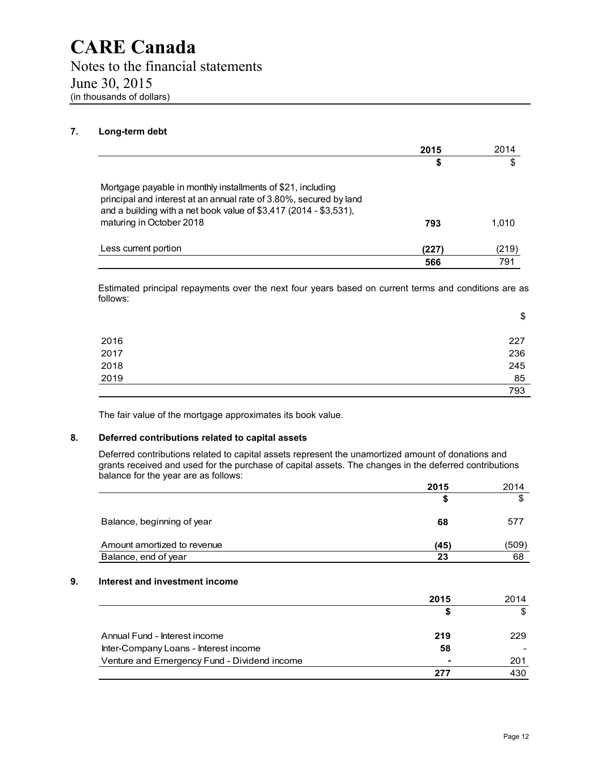#### **7. Long-term debt**

|                                                                                                                                                                                                                                    | 2015  | 2014  |
|------------------------------------------------------------------------------------------------------------------------------------------------------------------------------------------------------------------------------------|-------|-------|
|                                                                                                                                                                                                                                    | \$    | \$    |
| Mortgage payable in monthly installments of \$21, including<br>principal and interest at an annual rate of 3.80%, secured by land<br>and a building with a net book value of \$3,417 (2014 - \$3,531),<br>maturing in October 2018 | 793   | 1.010 |
| Less current portion                                                                                                                                                                                                               | (227) | (219) |
|                                                                                                                                                                                                                                    | 566   | 791   |

Estimated principal repayments over the next four years based on current terms and conditions are as follows:

|      | \$  |
|------|-----|
| 2016 | 227 |
| 2017 | 236 |
| 2018 | 245 |
| 2019 | 85  |
|      | 793 |

The fair value of the mortgage approximates its book value.

#### **8. Deferred contributions related to capital assets**

Deferred contributions related to capital assets represent the unamortized amount of donations and grants received and used for the purchase of capital assets. The changes in the deferred contributions balance for the year are as follows:

|                             | 2015 | 2014  |
|-----------------------------|------|-------|
|                             |      |       |
| Balance, beginning of year  | 68   | 577   |
| Amount amortized to revenue | (45) | (509) |
| Balance, end of year        | 23   | 68    |

#### **9. Interest and investment income**

|                                              | 2015 | 2014 |
|----------------------------------------------|------|------|
|                                              |      | S    |
| Annual Fund - Interest income                | 219  | 229  |
| Inter-Company Loans - Interest income        | 58   |      |
| Venture and Emergency Fund - Dividend income | -    | 201  |
|                                              | 277  | 430  |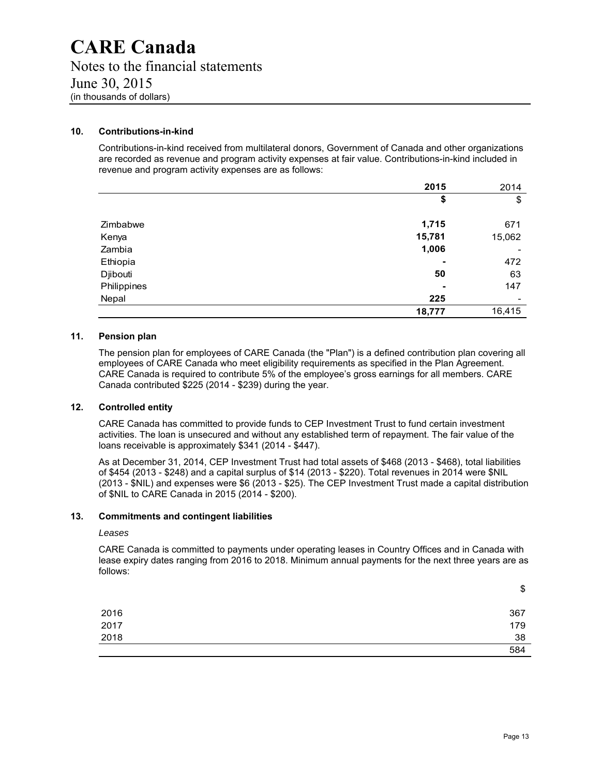#### **10. Contributions-in-kind**

Contributions-in-kind received from multilateral donors, Government of Canada and other organizations are recorded as revenue and program activity expenses at fair value. Contributions-in-kind included in revenue and program activity expenses are as follows:

|             | 2015   | 2014                     |
|-------------|--------|--------------------------|
|             | \$     | \$                       |
| Zimbabwe    | 1,715  | 671                      |
| Kenya       | 15,781 | 15,062                   |
| Zambia      | 1,006  |                          |
| Ethiopia    | ٠      | 472                      |
| Djibouti    | 50     | 63                       |
| Philippines | -      | 147                      |
| Nepal       | 225    | $\overline{\phantom{a}}$ |
|             | 18,777 | 16,415                   |

#### **11. Pension plan**

The pension plan for employees of CARE Canada (the "Plan") is a defined contribution plan covering all employees of CARE Canada who meet eligibility requirements as specified in the Plan Agreement. CARE Canada is required to contribute 5% of the employee's gross earnings for all members. CARE Canada contributed \$225 (2014 - \$239) during the year.

#### **12. Controlled entity**

CARE Canada has committed to provide funds to CEP Investment Trust to fund certain investment activities. The loan is unsecured and without any established term of repayment. The fair value of the loans receivable is approximately \$341 (2014 - \$447).

As at December 31, 2014, CEP Investment Trust had total assets of \$468 (2013 - \$468), total liabilities of \$454 (2013 - \$248) and a capital surplus of \$14 (2013 - \$220). Total revenues in 2014 were \$NIL (2013 - \$NIL) and expenses were \$6 (2013 - \$25). The CEP Investment Trust made a capital distribution of \$NIL to CARE Canada in 2015 (2014 - \$200).

#### **13. Commitments and contingent liabilities**

#### *Leases*

CARE Canada is committed to payments under operating leases in Country Offices and in Canada with lease expiry dates ranging from 2016 to 2018. Minimum annual payments for the next three years are as follows:

|              | $\mathbf{r}$ |
|--------------|--------------|
|              | 367          |
| 2016<br>2017 | 179          |
| 2018         | 38           |
|              | 584          |

\$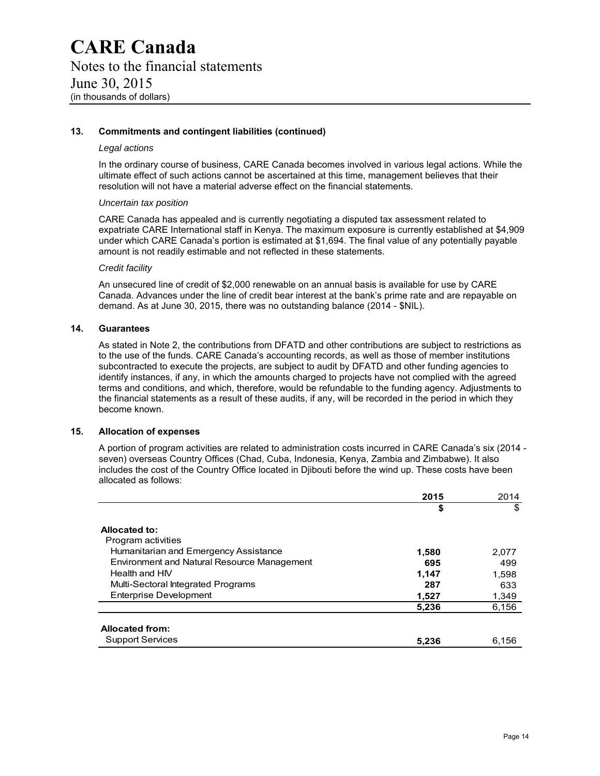#### **13. Commitments and contingent liabilities (continued)**

#### *Legal actions*

In the ordinary course of business, CARE Canada becomes involved in various legal actions. While the ultimate effect of such actions cannot be ascertained at this time, management believes that their resolution will not have a material adverse effect on the financial statements.

#### *Uncertain tax position*

CARE Canada has appealed and is currently negotiating a disputed tax assessment related to expatriate CARE International staff in Kenya. The maximum exposure is currently established at \$4,909 under which CARE Canada's portion is estimated at \$1,694. The final value of any potentially payable amount is not readily estimable and not reflected in these statements.

#### *Credit facility*

An unsecured line of credit of \$2,000 renewable on an annual basis is available for use by CARE Canada. Advances under the line of credit bear interest at the bank's prime rate and are repayable on demand. As at June 30, 2015, there was no outstanding balance (2014 - \$NIL).

#### **14. Guarantees**

As stated in Note 2, the contributions from DFATD and other contributions are subject to restrictions as to the use of the funds. CARE Canada's accounting records, as well as those of member institutions subcontracted to execute the projects, are subject to audit by DFATD and other funding agencies to identify instances, if any, in which the amounts charged to projects have not complied with the agreed terms and conditions, and which, therefore, would be refundable to the funding agency. Adjustments to the financial statements as a result of these audits, if any, will be recorded in the period in which they become known.

#### **15. Allocation of expenses**

A portion of program activities are related to administration costs incurred in CARE Canada's six (2014 seven) overseas Country Offices (Chad, Cuba, Indonesia, Kenya, Zambia and Zimbabwe). It also includes the cost of the Country Office located in Djibouti before the wind up. These costs have been allocated as follows:

|                                             | 2015  | 2014  |
|---------------------------------------------|-------|-------|
|                                             | \$    | \$    |
| Allocated to:                               |       |       |
| Program activities                          |       |       |
| Humanitarian and Emergency Assistance       | 1,580 | 2,077 |
| Environment and Natural Resource Management | 695   | 499   |
| Health and HIV                              | 1.147 | 1,598 |
| Multi-Sectoral Integrated Programs          | 287   | 633   |
| <b>Enterprise Development</b>               | 1,527 | 1,349 |
|                                             | 5,236 | 6,156 |
|                                             |       |       |
| <b>Allocated from:</b>                      |       |       |
| <b>Support Services</b>                     | 5.236 | 6,156 |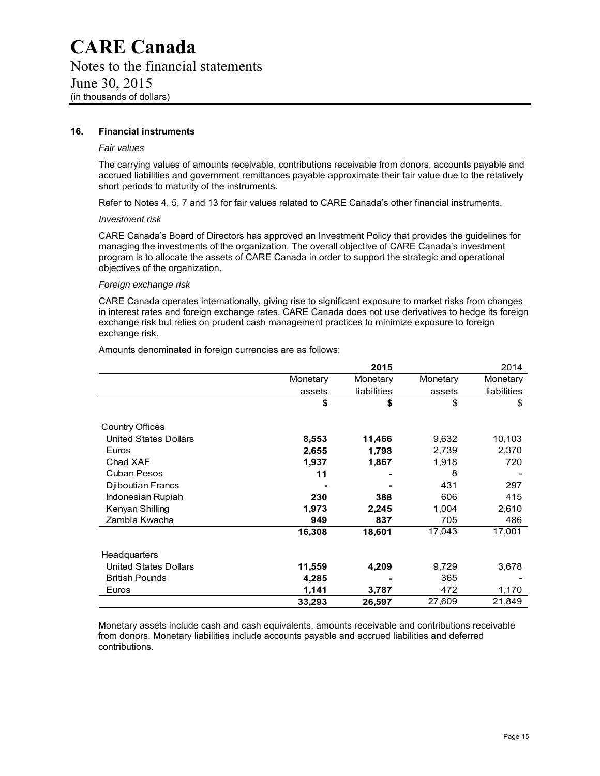#### **16. Financial instruments**

#### *Fair values*

The carrying values of amounts receivable, contributions receivable from donors, accounts payable and accrued liabilities and government remittances payable approximate their fair value due to the relatively short periods to maturity of the instruments.

Refer to Notes 4, 5, 7 and 13 for fair values related to CARE Canada's other financial instruments.

#### *Investment risk*

CARE Canada's Board of Directors has approved an Investment Policy that provides the guidelines for managing the investments of the organization. The overall objective of CARE Canada's investment program is to allocate the assets of CARE Canada in order to support the strategic and operational objectives of the organization.

#### *Foreign exchange risk*

CARE Canada operates internationally, giving rise to significant exposure to market risks from changes in interest rates and foreign exchange rates. CARE Canada does not use derivatives to hedge its foreign exchange risk but relies on prudent cash management practices to minimize exposure to foreign exchange risk.

|                              |          | 2015        |          | 2014        |
|------------------------------|----------|-------------|----------|-------------|
|                              | Monetary | Monetary    | Monetary | Monetary    |
|                              | assets   | liabilities | assets   | liabilities |
|                              | \$       | \$          | \$       | \$          |
| <b>Country Offices</b>       |          |             |          |             |
| <b>United States Dollars</b> | 8,553    | 11,466      | 9,632    | 10,103      |
| Euros                        | 2,655    | 1,798       | 2,739    | 2,370       |
| Chad XAF                     | 1,937    | 1,867       | 1,918    | 720         |
| <b>Cuban Pesos</b>           | 11       |             | 8        |             |
| Djiboutian Francs            |          |             | 431      | 297         |
| Indonesian Rupiah            | 230      | 388         | 606      | 415         |
| Kenyan Shilling              | 1,973    | 2,245       | 1,004    | 2,610       |
| Zambia Kwacha                | 949      | 837         | 705      | 486         |
|                              | 16,308   | 18,601      | 17,043   | 17,001      |
| <b>Headquarters</b>          |          |             |          |             |
| <b>United States Dollars</b> | 11,559   | 4,209       | 9,729    | 3,678       |
| <b>British Pounds</b>        | 4,285    |             | 365      |             |
| <b>Euros</b>                 | 1,141    | 3,787       | 472      | 1,170       |
|                              | 33,293   | 26,597      | 27,609   | 21,849      |

Amounts denominated in foreign currencies are as follows:

Monetary assets include cash and cash equivalents, amounts receivable and contributions receivable from donors. Monetary liabilities include accounts payable and accrued liabilities and deferred contributions.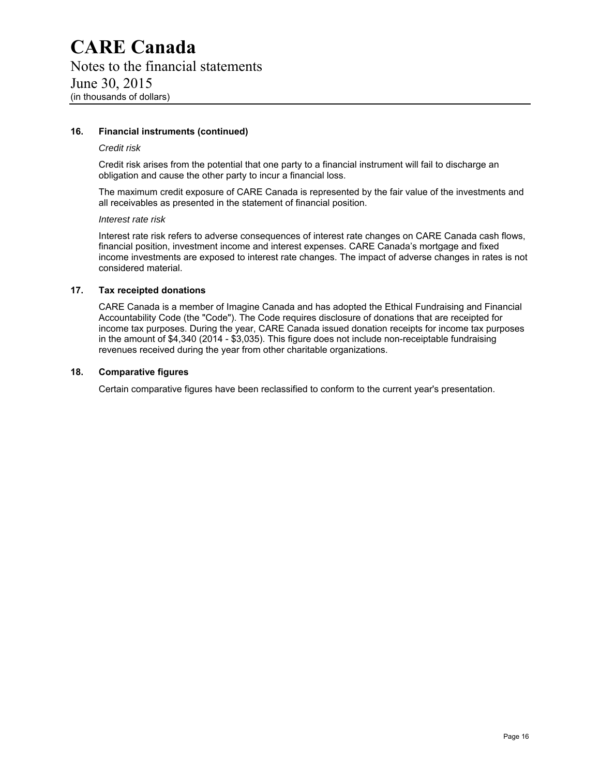#### **16. Financial instruments (continued)**

#### *Credit risk*

Credit risk arises from the potential that one party to a financial instrument will fail to discharge an obligation and cause the other party to incur a financial loss.

The maximum credit exposure of CARE Canada is represented by the fair value of the investments and all receivables as presented in the statement of financial position.

#### *Interest rate risk*

Interest rate risk refers to adverse consequences of interest rate changes on CARE Canada cash flows, financial position, investment income and interest expenses. CARE Canada's mortgage and fixed income investments are exposed to interest rate changes. The impact of adverse changes in rates is not considered material.

#### **17. Tax receipted donations**

CARE Canada is a member of Imagine Canada and has adopted the Ethical Fundraising and Financial Accountability Code (the "Code"). The Code requires disclosure of donations that are receipted for income tax purposes. During the year, CARE Canada issued donation receipts for income tax purposes in the amount of \$4,340 (2014 - \$3,035). This figure does not include non-receiptable fundraising revenues received during the year from other charitable organizations.

#### **18. Comparative figures**

Certain comparative figures have been reclassified to conform to the current year's presentation.